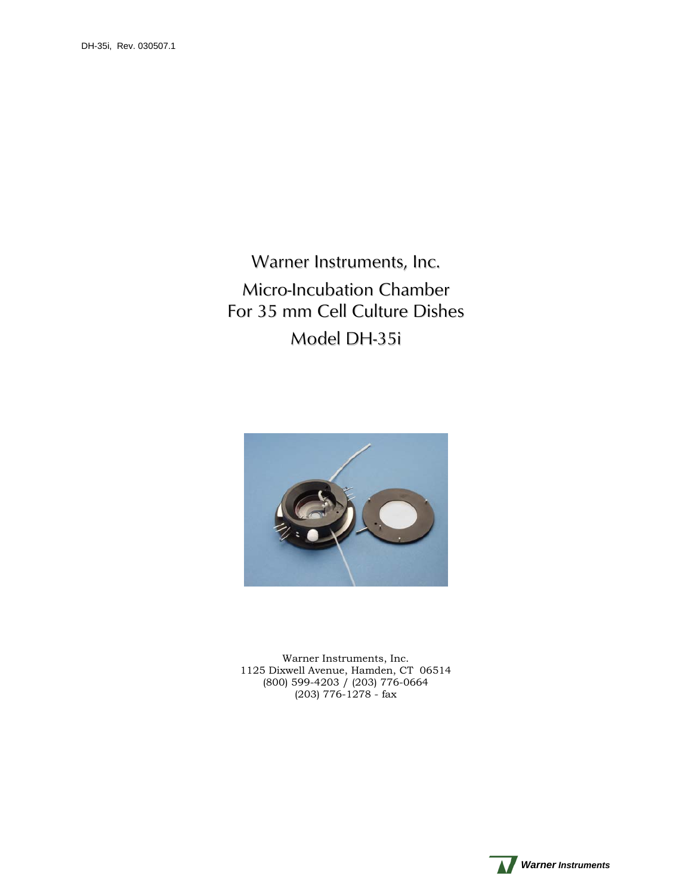Warner Instruments, Inc. Micro-Incubation Chamber For 35 mm Cell Culture Dishes Model DH-35i



Warner Instruments, Inc. 1125 Dixwell Avenue, Hamden, CT 06514 (800) 599-4203 / (203) 776-0664  $(203)$  776-1278 - fax

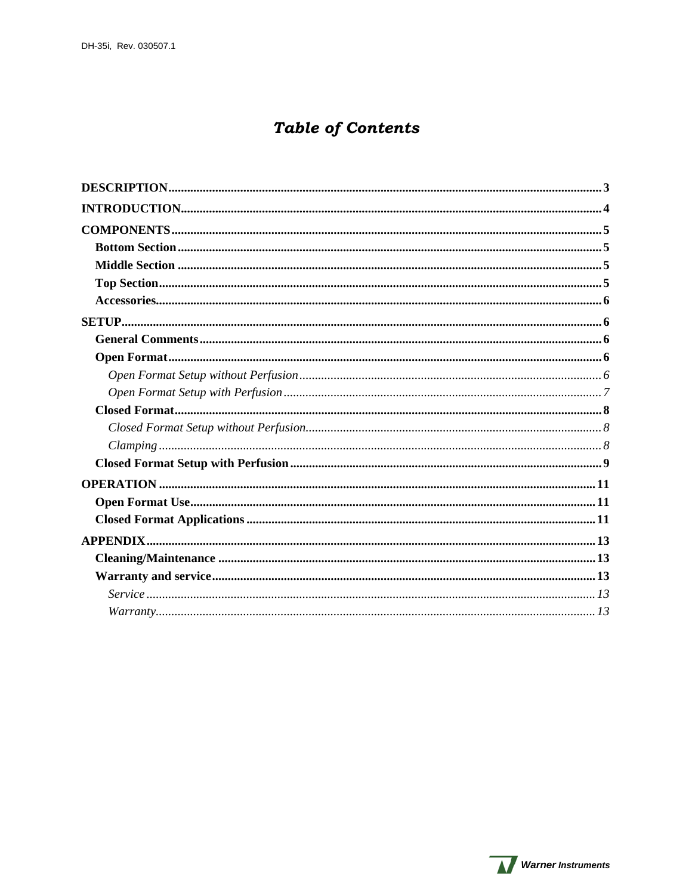# **Table of Contents**

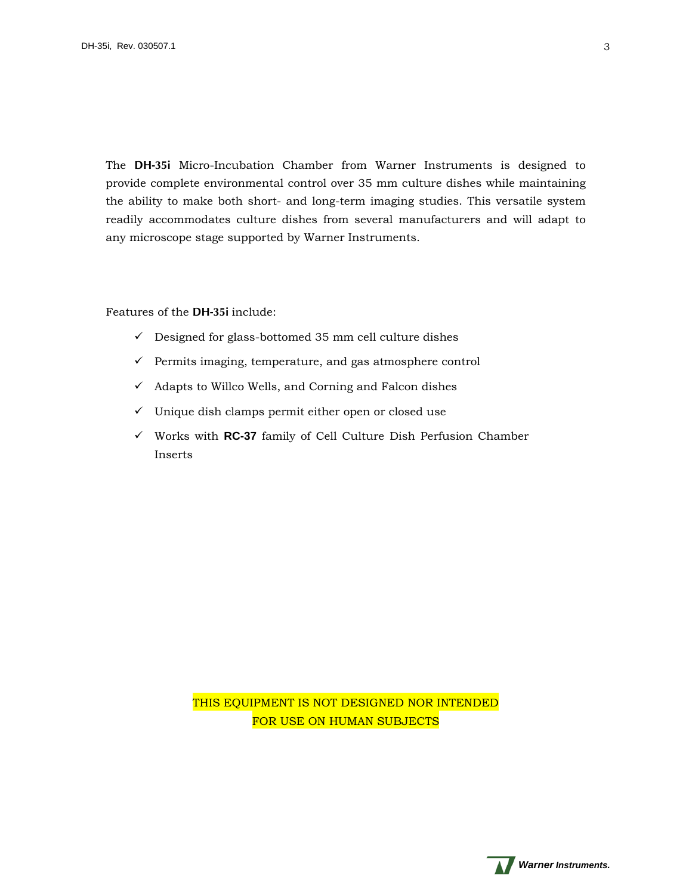<span id="page-2-0"></span>The **DH-35i** Micro-Incubation Chamber from Warner Instruments is designed to provide complete environmental control over 35 mm culture dishes while maintaining the ability to make both short- and long-term imaging studies. This versatile system readily accommodates culture dishes from several manufacturers and will adapt to any microscope stage supported by Warner Instruments.

Features of the **DH-35i** include:

- $\checkmark$  Designed for glass-bottomed 35 mm cell culture dishes
- $\checkmark$  Permits imaging, temperature, and gas atmosphere control
- $\checkmark$  Adapts to Willco Wells, and Corning and Falcon dishes
- $\checkmark$  Unique dish clamps permit either open or closed use
- Works with **RC-37** family of Cell Culture Dish Perfusion Chamber Inserts

THIS EQUIPMENT IS NOT DESIGNED NOR INTENDED FOR USE ON HUMAN SUBJECTS

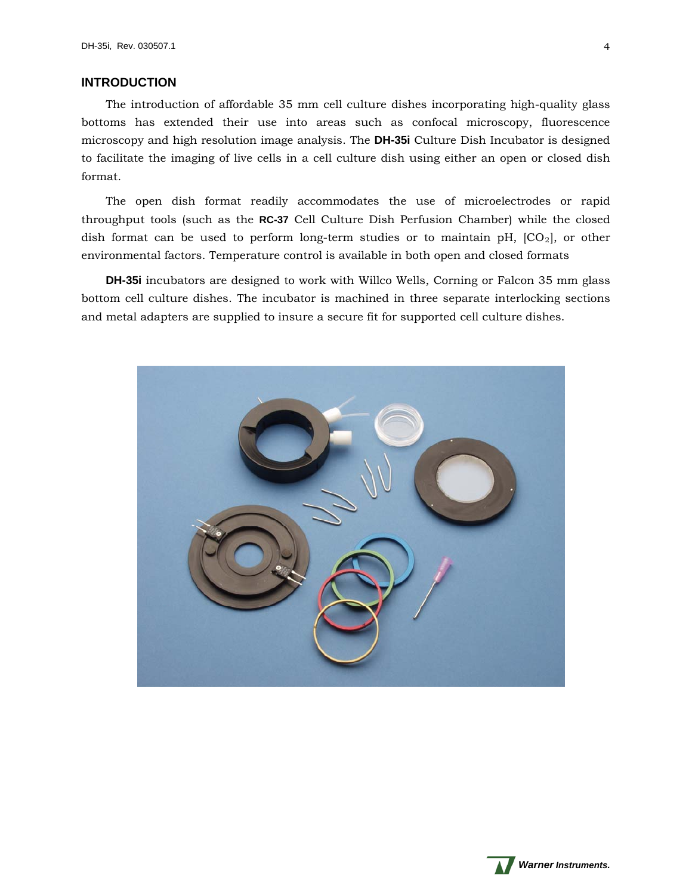## <span id="page-3-0"></span>**INTRODUCTION**

The introduction of affordable 35 mm cell culture dishes incorporating high-quality glass bottoms has extended their use into areas such as confocal microscopy, fluorescence microscopy and high resolution image analysis. The **DH-35i** Culture Dish Incubator is designed to facilitate the imaging of live cells in a cell culture dish using either an open or closed dish format.

The open dish format readily accommodates the use of microelectrodes or rapid throughput tools (such as the **RC-37** Cell Culture Dish Perfusion Chamber) while the closed dish format can be used to perform long-term studies or to maintain pH,  $[CO_2]$ , or other environmental factors. Temperature control is available in both open and closed formats

**DH-35i** incubators are designed to work with Willco Wells, Corning or Falcon 35 mm glass bottom cell culture dishes. The incubator is machined in three separate interlocking sections and metal adapters are supplied to insure a secure fit for supported cell culture dishes.



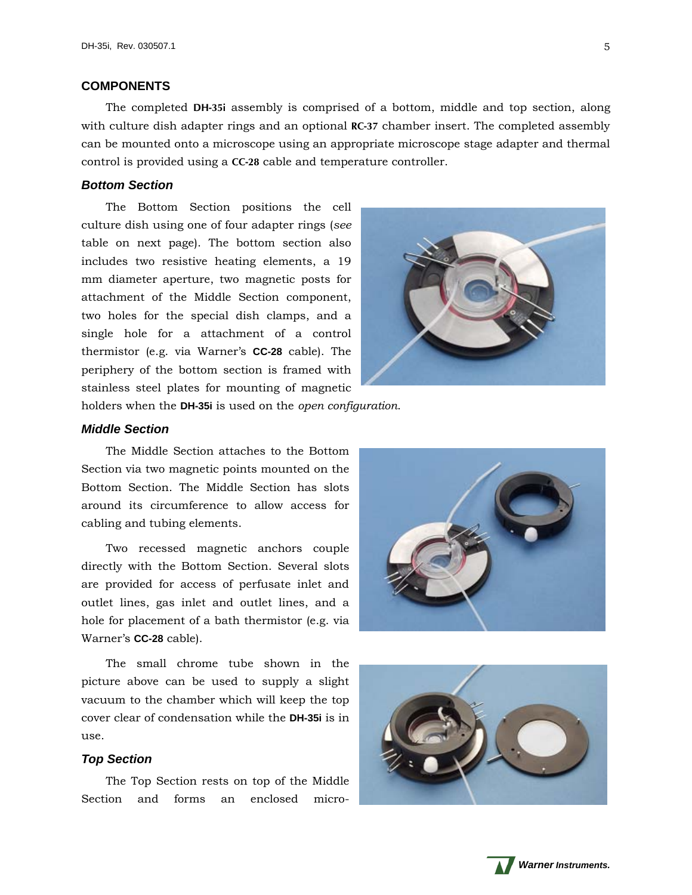## <span id="page-4-0"></span>**COMPONENTS**

The completed **DH-35i** assembly is comprised of a bottom, middle and top section, along with culture dish adapter rings and an optional **RC-37** chamber insert. The completed assembly can be mounted onto a microscope using an appropriate microscope stage adapter and thermal control is provided using a **CC-28** cable and temperature controller.

## <span id="page-4-1"></span>*Bottom Section*

The Bottom Section positions the cell culture dish using one of four adapter rings (*see* table on next page). The bottom section also includes two resistive heating elements, a 19 mm diameter aperture, two magnetic posts for attachment of the Middle Section component, two holes for the special dish clamps, and a single hole for a attachment of a control thermistor (e.g. via Warner's **CC-28** cable). The periphery of the bottom section is framed with stainless steel plates for mounting of magnetic



holders when the **DH-35i** is used on the *open configuration*.

#### <span id="page-4-2"></span>*Middle Section*

The Middle Section attaches to the Bottom Section via two magnetic points mounted on the Bottom Section. The Middle Section has slots around its circumference to allow access for cabling and tubing elements.

Two recessed magnetic anchors couple directly with the Bottom Section. Several slots are provided for access of perfusate inlet and outlet lines, gas inlet and outlet lines, and a hole for placement of a bath thermistor (e.g. via Warner's **CC-28** cable).

The small chrome tube shown in the picture above can be used to supply a slight vacuum to the chamber which will keep the top cover clear of condensation while the **DH-35i** is in use.

#### <span id="page-4-3"></span>*Top Section*

The Top Section rests on top of the Middle Section and forms an enclosed micro-





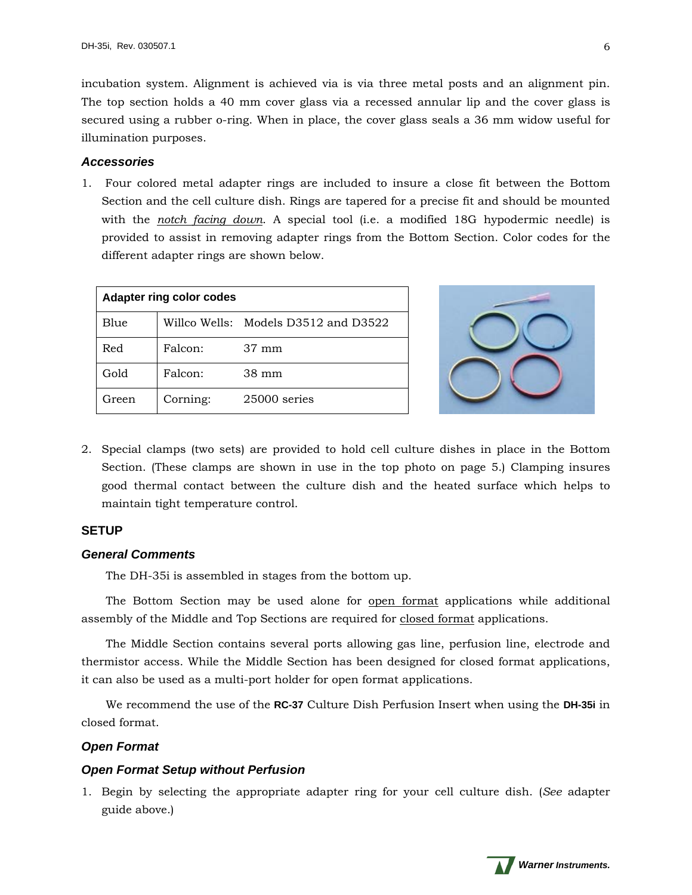incubation system. Alignment is achieved via is via three metal posts and an alignment pin. The top section holds a 40 mm cover glass via a recessed annular lip and the cover glass is secured using a rubber o-ring. When in place, the cover glass seals a 36 mm widow useful for illumination purposes.

## <span id="page-5-0"></span>*Accessories*

1. Four colored metal adapter rings are included to insure a close fit between the Bottom Section and the cell culture dish. Rings are tapered for a precise fit and should be mounted with the *notch facing down*. A special tool (i.e. a modified 18G hypodermic needle) is provided to assist in removing adapter rings from the Bottom Section. Color codes for the different adapter rings are shown below.

| <b>Adapter ring color codes</b> |          |                                      |  |
|---------------------------------|----------|--------------------------------------|--|
| Blue                            |          | Willco Wells: Models D3512 and D3522 |  |
| Red                             | Falcon:  | $37 \text{ mm}$                      |  |
| Gold                            | Falcon:  | 38 mm                                |  |
| Green                           | Corning: | $25000$ series                       |  |



2. Special clamps (two sets) are provided to hold cell culture dishes in place in the Bottom Section. (These clamps are shown in use in the top photo on page 5.) Clamping insures good thermal contact between the culture dish and the heated surface which helps to maintain tight temperature control.

# <span id="page-5-1"></span>**SETUP**

## <span id="page-5-2"></span>*General Comments*

The DH-35i is assembled in stages from the bottom up.

The Bottom Section may be used alone for open format applications while additional assembly of the Middle and Top Sections are required for closed format applications.

The Middle Section contains several ports allowing gas line, perfusion line, electrode and thermistor access. While the Middle Section has been designed for closed format applications, it can also be used as a multi-port holder for open format applications.

We recommend the use of the **RC-37** Culture Dish Perfusion Insert when using the **DH-35i** in closed format.

# <span id="page-5-3"></span>*Open Format*

## <span id="page-5-4"></span>*Open Format Setup without Perfusion*

1. Begin by selecting the appropriate adapter ring for your cell culture dish. (*See* adapter guide above.)

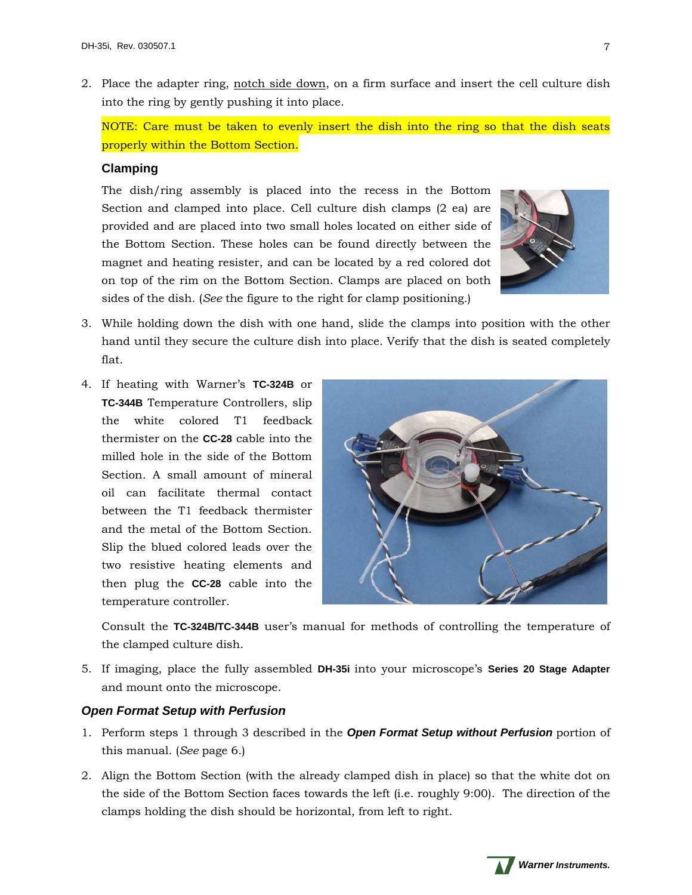2. Place the adapter ring, notch side down, on a firm surface and insert the cell culture dish into the ring by gently pushing it into place.

NOTE: Care must be taken to evenly insert the dish into the ring so that the dish seats properly within the Bottom Section.

## **Clamping**

The dish/ring assembly is placed into the recess in the Bottom Section and clamped into place. Cell culture dish clamps (2 ea) are provided and are placed into two small holes located on either side of the Bottom Section. These holes can be found directly between the magnet and heating resister, and can be located by a red colored dot on top of the rim on the Bottom Section. Clamps are placed on both sides of the dish. (*See* the figure to the right for clamp positioning.)



- 3. While holding down the dish with one hand, slide the clamps into position with the other hand until they secure the culture dish into place. Verify that the dish is seated completely flat.
- 4. If heating with Warner's **TC-324B** or **TC-344B** Temperature Controllers, slip the white colored T1 feedback thermister on the **CC-28** cable into the milled hole in the side of the Bottom Section. A small amount of mineral oil can facilitate thermal contact between the T1 feedback thermister and the metal of the Bottom Section. Slip the blued colored leads over the two resistive heating elements and then plug the **CC-28** cable into the temperature controller.



Consult the **TC-324B/TC-344B** user's manual for methods of controlling the temperature of the clamped culture dish.

5. If imaging, place the fully assembled **DH-35i** into your microscope's **Series 20 Stage Adapter** and mount onto the microscope.

## <span id="page-6-0"></span>*Open Format Setup with Perfusion*

- 1. Perform steps 1 through 3 described in the *Open Format Setup without Perfusion* portion of this manual. (*See* page 6.)
- 2. Align the Bottom Section (with the already clamped dish in place) so that the white dot on the side of the Bottom Section faces towards the left (i.e. roughly 9:00). The direction of the clamps holding the dish should be horizontal, from left to right.

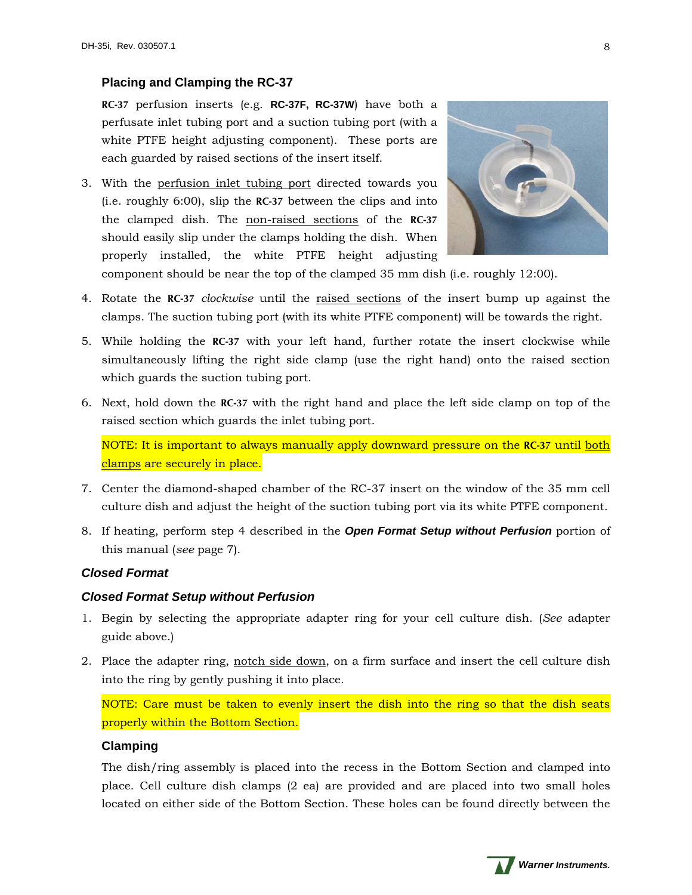# **Placing and Clamping the RC-37**

**RC-37** perfusion inserts (e.g. **RC-37F, RC-37W**) have both a perfusate inlet tubing port and a suction tubing port (with a white PTFE height adjusting component). These ports are each guarded by raised sections of the insert itself.

3. With the perfusion inlet tubing port directed towards you (i.e. roughly 6:00), slip the **RC-37** between the clips and into the clamped dish. The non-raised sections of the **RC-37** should easily slip under the clamps holding the dish. When properly installed, the white PTFE height adjusting



component should be near the top of the clamped 35 mm dish (i.e. roughly 12:00).

- 4. Rotate the **RC-37** *clockwise* until the raised sections of the insert bump up against the clamps. The suction tubing port (with its white PTFE component) will be towards the right.
- 5. While holding the **RC-37** with your left hand, further rotate the insert clockwise while simultaneously lifting the right side clamp (use the right hand) onto the raised section which guards the suction tubing port.
- 6. Next, hold down the **RC-37** with the right hand and place the left side clamp on top of the raised section which guards the inlet tubing port.

NOTE: It is important to always manually apply downward pressure on the **RC-37** until both clamps are securely in place.

- 7. Center the diamond-shaped chamber of the RC-37 insert on the window of the 35 mm cell culture dish and adjust the height of the suction tubing port via its white PTFE component.
- 8. If heating, perform step 4 described in the *Open Format Setup without Perfusion* portion of this manual (*see* page 7).

# <span id="page-7-0"></span>*Closed Format*

# <span id="page-7-1"></span>*Closed Format Setup without Perfusion*

- 1. Begin by selecting the appropriate adapter ring for your cell culture dish. (*See* adapter guide above.)
- 2. Place the adapter ring, notch side down, on a firm surface and insert the cell culture dish into the ring by gently pushing it into place.

NOTE: Care must be taken to evenly insert the dish into the ring so that the dish seats properly within the Bottom Section.

# <span id="page-7-2"></span>**Clamping**

The dish/ring assembly is placed into the recess in the Bottom Section and clamped into place. Cell culture dish clamps (2 ea) are provided and are placed into two small holes located on either side of the Bottom Section. These holes can be found directly between the

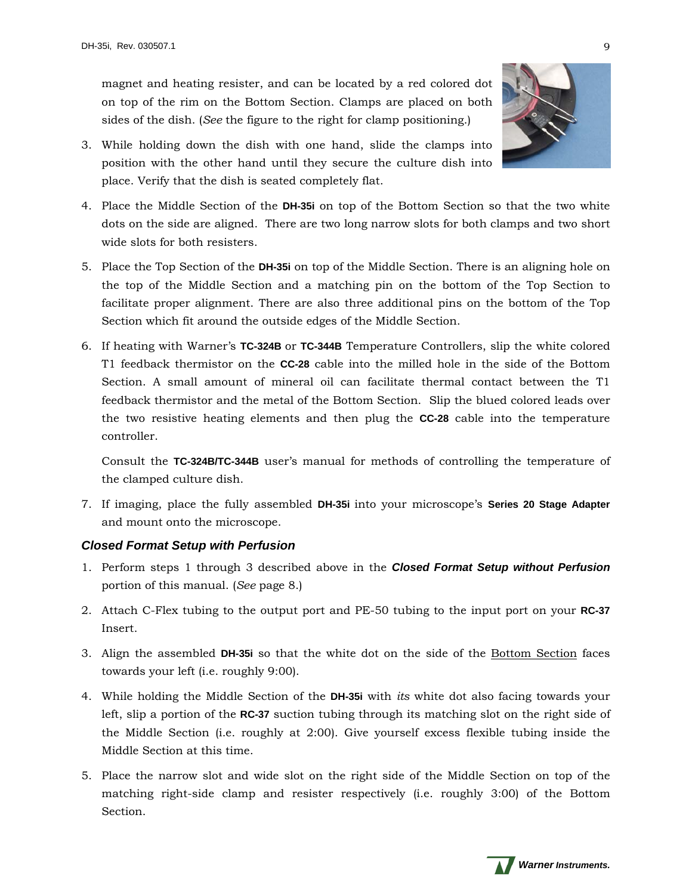magnet and heating resister, and can be located by a red colored dot on top of the rim on the Bottom Section. Clamps are placed on both sides of the dish. (*See* the figure to the right for clamp positioning.)



- 3. While holding down the dish with one hand, slide the clamps into position with the other hand until they secure the culture dish into place. Verify that the dish is seated completely flat.
- 4. Place the Middle Section of the **DH-35i** on top of the Bottom Section so that the two white dots on the side are aligned. There are two long narrow slots for both clamps and two short wide slots for both resisters.
- 5. Place the Top Section of the **DH-35i** on top of the Middle Section. There is an aligning hole on the top of the Middle Section and a matching pin on the bottom of the Top Section to facilitate proper alignment. There are also three additional pins on the bottom of the Top Section which fit around the outside edges of the Middle Section.
- 6. If heating with Warner's **TC-324B** or **TC-344B** Temperature Controllers, slip the white colored T1 feedback thermistor on the **CC-28** cable into the milled hole in the side of the Bottom Section. A small amount of mineral oil can facilitate thermal contact between the T1 feedback thermistor and the metal of the Bottom Section. Slip the blued colored leads over the two resistive heating elements and then plug the **CC-28** cable into the temperature controller.

Consult the **TC-324B/TC-344B** user's manual for methods of controlling the temperature of the clamped culture dish.

7. If imaging, place the fully assembled **DH-35i** into your microscope's **Series 20 Stage Adapter** and mount onto the microscope.

# <span id="page-8-0"></span>*Closed Format Setup with Perfusion*

- 1. Perform steps 1 through 3 described above in the *Closed Format Setup without Perfusion* portion of this manual. (*See* page 8.)
- 2. Attach C-Flex tubing to the output port and PE-50 tubing to the input port on your **RC-37** Insert.
- 3. Align the assembled **DH-35i** so that the white dot on the side of the Bottom Section faces towards your left (i.e. roughly 9:00).
- 4. While holding the Middle Section of the **DH-35i** with *its* white dot also facing towards your left, slip a portion of the **RC-37** suction tubing through its matching slot on the right side of the Middle Section (i.e. roughly at 2:00). Give yourself excess flexible tubing inside the Middle Section at this time.
- 5. Place the narrow slot and wide slot on the right side of the Middle Section on top of the matching right-side clamp and resister respectively (i.e. roughly 3:00) of the Bottom Section.

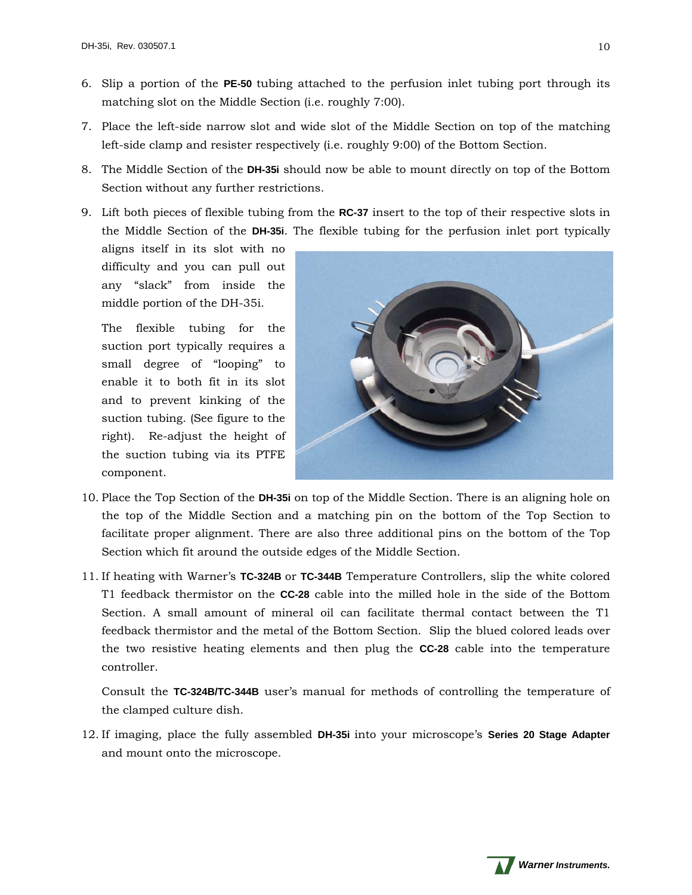- 6. Slip a portion of the **PE-50** tubing attached to the perfusion inlet tubing port through its matching slot on the Middle Section (i.e. roughly 7:00).
- 7. Place the left-side narrow slot and wide slot of the Middle Section on top of the matching left-side clamp and resister respectively (i.e. roughly 9:00) of the Bottom Section.
- 8. The Middle Section of the **DH-35i** should now be able to mount directly on top of the Bottom Section without any further restrictions.
- 9. Lift both pieces of flexible tubing from the **RC-37** insert to the top of their respective slots in the Middle Section of the **DH-35i**. The flexible tubing for the perfusion inlet port typically

aligns itself in its slot with no difficulty and you can pull out any "slack" from inside the middle portion of the DH-35i.

The flexible tubing for the suction port typically requires a small degree of "looping" to enable it to both fit in its slot and to prevent kinking of the suction tubing. (See figure to the right). Re-adjust the height of the suction tubing via its PTFE component.



- 10. Place the Top Section of the **DH-35i** on top of the Middle Section. There is an aligning hole on the top of the Middle Section and a matching pin on the bottom of the Top Section to facilitate proper alignment. There are also three additional pins on the bottom of the Top Section which fit around the outside edges of the Middle Section.
- 11. If heating with Warner's **TC-324B** or **TC-344B** Temperature Controllers, slip the white colored T1 feedback thermistor on the **CC-28** cable into the milled hole in the side of the Bottom Section. A small amount of mineral oil can facilitate thermal contact between the T1 feedback thermistor and the metal of the Bottom Section. Slip the blued colored leads over the two resistive heating elements and then plug the **CC-28** cable into the temperature controller.

Consult the **TC-324B/TC-344B** user's manual for methods of controlling the temperature of the clamped culture dish.

12. If imaging, place the fully assembled **DH-35i** into your microscope's **Series 20 Stage Adapter** and mount onto the microscope.

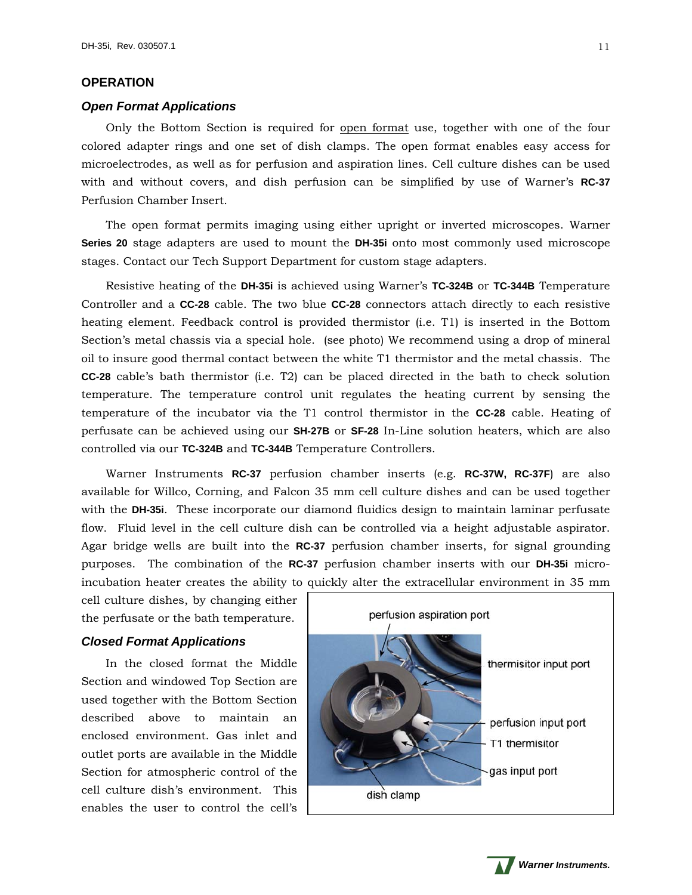## <span id="page-10-0"></span>**OPERATION**

#### <span id="page-10-1"></span>*Open Format Applications*

Only the Bottom Section is required for open format use, together with one of the four colored adapter rings and one set of dish clamps. The open format enables easy access for microelectrodes, as well as for perfusion and aspiration lines. Cell culture dishes can be used with and without covers, and dish perfusion can be simplified by use of Warner's **RC-37** Perfusion Chamber Insert.

The open format permits imaging using either upright or inverted microscopes. Warner **Series 20** stage adapters are used to mount the **DH-35i** onto most commonly used microscope stages. Contact our Tech Support Department for custom stage adapters.

Resistive heating of the **DH-35i** is achieved using Warner's **TC-324B** or **TC-344B** Temperature Controller and a **CC-28** cable. The two blue **CC-28** connectors attach directly to each resistive heating element. Feedback control is provided thermistor (i.e. T1) is inserted in the Bottom Section's metal chassis via a special hole. (see photo) We recommend using a drop of mineral oil to insure good thermal contact between the white T1 thermistor and the metal chassis. The **CC-28** cable's bath thermistor (i.e. T2) can be placed directed in the bath to check solution temperature. The temperature control unit regulates the heating current by sensing the temperature of the incubator via the T1 control thermistor in the **CC-28** cable. Heating of perfusate can be achieved using our **SH-27B** or **SF-28** In-Line solution heaters, which are also controlled via our **TC-324B** and **TC-344B** Temperature Controllers.

Warner Instruments **RC-37** perfusion chamber inserts (e.g. **RC-37W, RC-37F**) are also available for Willco, Corning, and Falcon 35 mm cell culture dishes and can be used together with the **DH-35i**. These incorporate our diamond fluidics design to maintain laminar perfusate flow. Fluid level in the cell culture dish can be controlled via a height adjustable aspirator. Agar bridge wells are built into the **RC-37** perfusion chamber inserts, for signal grounding purposes. The combination of the **RC-37** perfusion chamber inserts with our **DH-35i** microincubation heater creates the ability to quickly alter the extracellular environment in 35 mm

cell culture dishes, by changing either the perfusate or the bath temperature.

## <span id="page-10-2"></span>*Closed Format Applications*

In the closed format the Middle Section and windowed Top Section are used together with the Bottom Section described above to maintain an enclosed environment. Gas inlet and outlet ports are available in the Middle Section for atmospheric control of the cell culture dish's environment. This enables the user to control the cell's





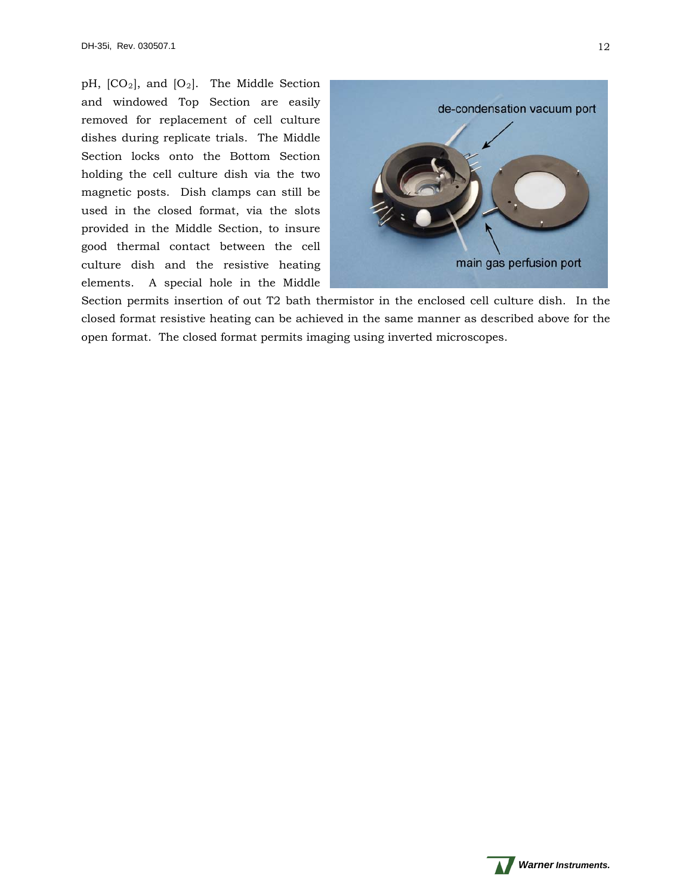pH,  $[CO_2]$ , and  $[O_2]$ . The Middle Section and windowed Top Section are easily removed for replacement of cell culture dishes during replicate trials. The Middle Section locks onto the Bottom Section holding the cell culture dish via the two magnetic posts. Dish clamps can still be used in the closed format, via the slots provided in the Middle Section, to insure good thermal contact between the cell culture dish and the resistive heating elements. A special hole in the Middle



Section permits insertion of out T2 bath thermistor in the enclosed cell culture dish. In the closed format resistive heating can be achieved in the same manner as described above for the open format. The closed format permits imaging using inverted microscopes.